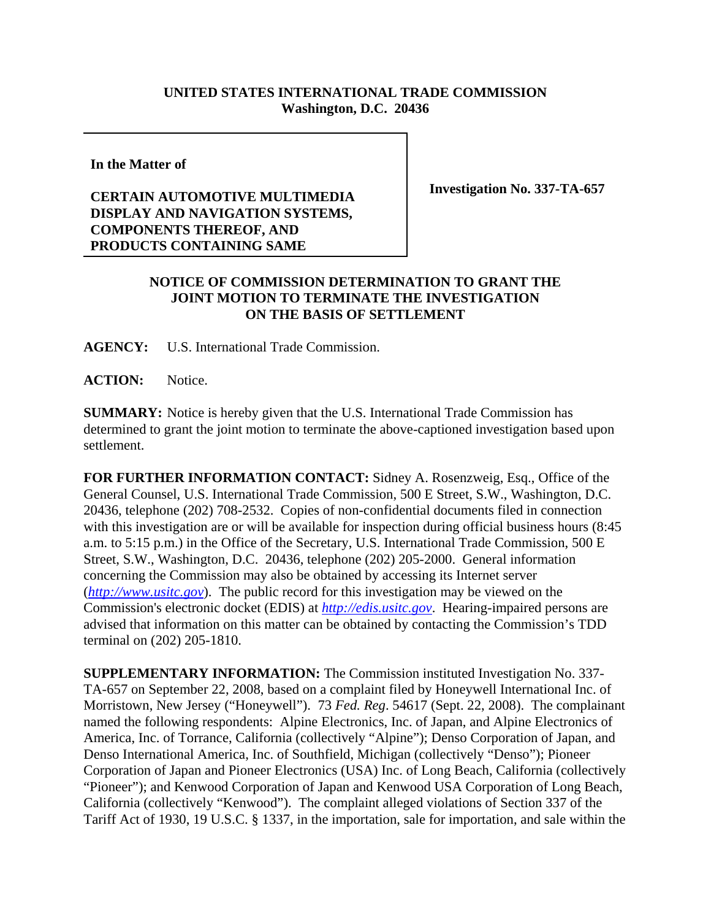## **UNITED STATES INTERNATIONAL TRADE COMMISSION Washington, D.C. 20436**

**In the Matter of**

## **CERTAIN AUTOMOTIVE MULTIMEDIA DISPLAY AND NAVIGATION SYSTEMS, COMPONENTS THEREOF, AND PRODUCTS CONTAINING SAME**

**Investigation No. 337-TA-657**

## **NOTICE OF COMMISSION DETERMINATION TO GRANT THE JOINT MOTION TO TERMINATE THE INVESTIGATION ON THE BASIS OF SETTLEMENT**

**AGENCY:** U.S. International Trade Commission.

**ACTION:** Notice.

**SUMMARY:** Notice is hereby given that the U.S. International Trade Commission has determined to grant the joint motion to terminate the above-captioned investigation based upon settlement.

**FOR FURTHER INFORMATION CONTACT:** Sidney A. Rosenzweig, Esq., Office of the General Counsel, U.S. International Trade Commission, 500 E Street, S.W., Washington, D.C. 20436, telephone (202) 708-2532. Copies of non-confidential documents filed in connection with this investigation are or will be available for inspection during official business hours (8:45) a.m. to 5:15 p.m.) in the Office of the Secretary, U.S. International Trade Commission, 500 E Street, S.W., Washington, D.C. 20436, telephone (202) 205-2000. General information concerning the Commission may also be obtained by accessing its Internet server (*http://www.usitc.gov*). The public record for this investigation may be viewed on the Commission's electronic docket (EDIS) at *http://edis.usitc.gov*. Hearing-impaired persons are advised that information on this matter can be obtained by contacting the Commission's TDD terminal on (202) 205-1810.

**SUPPLEMENTARY INFORMATION:** The Commission instituted Investigation No. 337- TA-657 on September 22, 2008, based on a complaint filed by Honeywell International Inc. of Morristown, New Jersey ("Honeywell"). 73 *Fed. Reg*. 54617 (Sept. 22, 2008). The complainant named the following respondents: Alpine Electronics, Inc. of Japan, and Alpine Electronics of America, Inc. of Torrance, California (collectively "Alpine"); Denso Corporation of Japan, and Denso International America, Inc. of Southfield, Michigan (collectively "Denso"); Pioneer Corporation of Japan and Pioneer Electronics (USA) Inc. of Long Beach, California (collectively "Pioneer"); and Kenwood Corporation of Japan and Kenwood USA Corporation of Long Beach, California (collectively "Kenwood"). The complaint alleged violations of Section 337 of the Tariff Act of 1930, 19 U.S.C. § 1337, in the importation, sale for importation, and sale within the